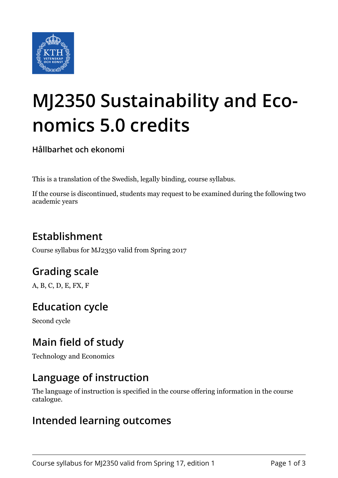

# **MJ2350 Sustainability and Economics 5.0 credits**

**Hållbarhet och ekonomi**

This is a translation of the Swedish, legally binding, course syllabus.

If the course is discontinued, students may request to be examined during the following two academic years

## **Establishment**

Course syllabus for MJ2350 valid from Spring 2017

## **Grading scale**

A, B, C, D, E, FX, F

## **Education cycle**

Second cycle

## **Main field of study**

Technology and Economics

### **Language of instruction**

The language of instruction is specified in the course offering information in the course catalogue.

#### **Intended learning outcomes**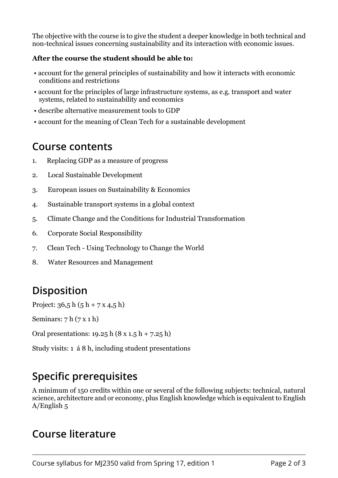The objective with the course is to give the student a deeper knowledge in both technical and non-technical issues concerning sustainability and its interaction with economic issues.

#### After the course the student should be able to:

- account for the general principles of sustainability and how it interacts with economic conditions and restrictions
- account for the principles of large infrastructure systems, as e.g. transport and water systems, related to sustainability and economics
- describe alternative measurement tools to GDP
- account for the meaning of Clean Tech for a sustainable development

#### **Course contents**

- 1. Replacing GDP as a measure of progress
- 2. Local Sustainable Development
- 3. European issues on Sustainability & Economics
- 4. Sustainable transport systems in a global context
- 5. Climate Change and the Conditions for Industrial Transformation
- 6. Corporate Social Responsibility
- 7. Clean Tech Using Technology to Change the World
- 8. Water Resources and Management

## **Disposition**

Project:  $36.5 h (5 h + 7 x 4.5 h)$ 

Seminars:  $7 h (7 x 1 h)$ 

Oral presentations: 19.25 h (8 x 1.5 h + 7.25 h)

Study visits: 1 á 8 h, including student presentations

## **Specific prerequisites**

A minimum of 150 credits within one or several of the following subjects: technical, natural science, architecture and or economy, plus English knowledge which is equivalent to English A/English 5

### **Course literature**